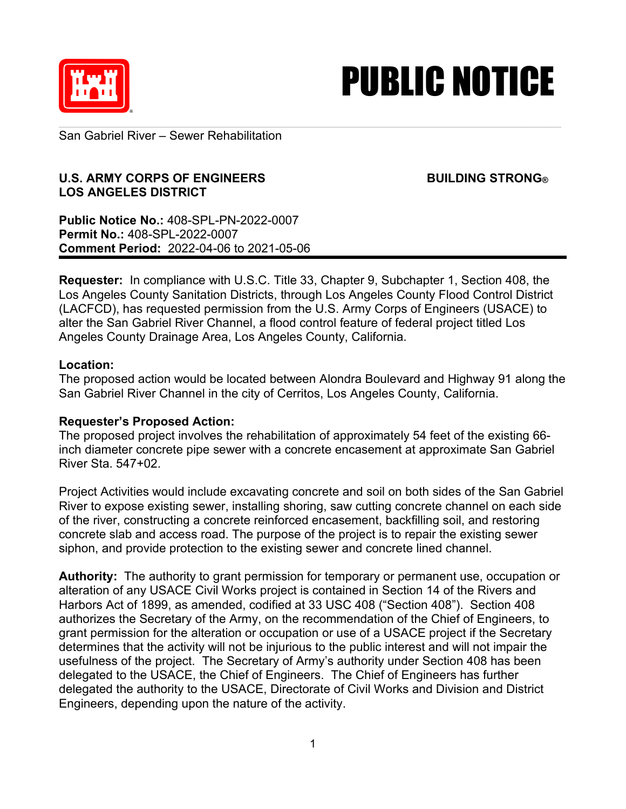

## PUBLIC NOTICE

San Gabriel River – Sewer Rehabilitation

## **U.S. ARMY CORPS OF ENGINEERS BUILDING STRONG® LOS ANGELES DISTRICT**

**Public Notice No.:** 408-SPL-PN-2022-0007 **Permit No.:** 408-SPL-2022-0007 **Comment Period:** 2022-04-06 to 2021-05-06

**Requester:** In compliance with U.S.C. Title 33, Chapter 9, Subchapter 1, Section 408, the Los Angeles County Sanitation Districts, through Los Angeles County Flood Control District (LACFCD), has requested permission from the U.S. Army Corps of Engineers (USACE) to alter the San Gabriel River Channel, a flood control feature of federal project titled Los Angeles County Drainage Area, Los Angeles County, California.

## **Location:**

The proposed action would be located between Alondra Boulevard and Highway 91 along the San Gabriel River Channel in the city of Cerritos, Los Angeles County, California.

## **Requester's Proposed Action:**

The proposed project involves the rehabilitation of approximately 54 feet of the existing 66 inch diameter concrete pipe sewer with a concrete encasement at approximate San Gabriel River Sta. 547+02.

Project Activities would include excavating concrete and soil on both sides of the San Gabriel River to expose existing sewer, installing shoring, saw cutting concrete channel on each side of the river, constructing a concrete reinforced encasement, backfilling soil, and restoring concrete slab and access road. The purpose of the project is to repair the existing sewer siphon, and provide protection to the existing sewer and concrete lined channel.

**Authority:** The authority to grant permission for temporary or permanent use, occupation or alteration of any USACE Civil Works project is contained in Section 14 of the Rivers and Harbors Act of 1899, as amended, codified at 33 USC 408 ("Section 408"). Section 408 authorizes the Secretary of the Army, on the recommendation of the Chief of Engineers, to grant permission for the alteration or occupation or use of a USACE project if the Secretary determines that the activity will not be injurious to the public interest and will not impair the usefulness of the project. The Secretary of Army's authority under Section 408 has been delegated to the USACE, the Chief of Engineers. The Chief of Engineers has further delegated the authority to the USACE, Directorate of Civil Works and Division and District Engineers, depending upon the nature of the activity.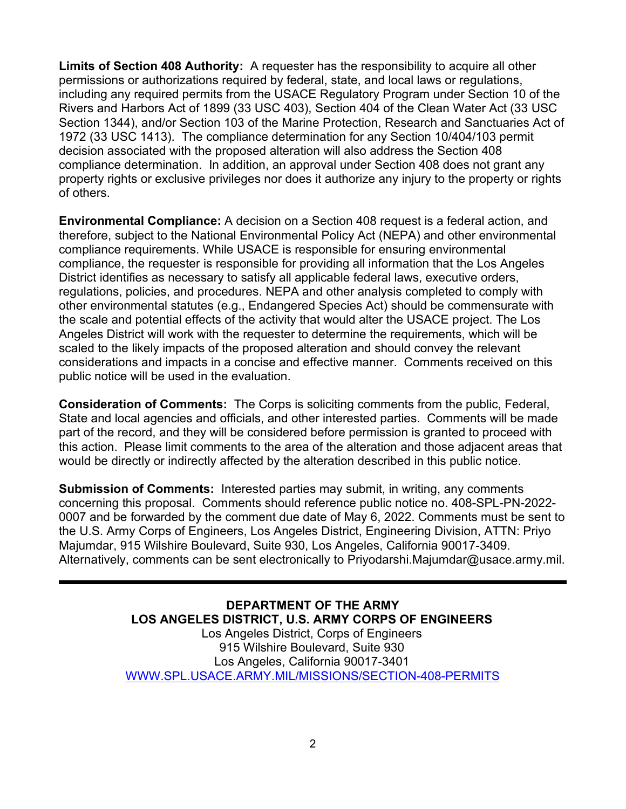**Limits of Section 408 Authority:** A requester has the responsibility to acquire all other permissions or authorizations required by federal, state, and local laws or regulations, including any required permits from the USACE Regulatory Program under Section 10 of the Rivers and Harbors Act of 1899 (33 USC 403), Section 404 of the Clean Water Act (33 USC Section 1344), and/or Section 103 of the Marine Protection, Research and Sanctuaries Act of 1972 (33 USC 1413). The compliance determination for any Section 10/404/103 permit decision associated with the proposed alteration will also address the Section 408 compliance determination. In addition, an approval under Section 408 does not grant any property rights or exclusive privileges nor does it authorize any injury to the property or rights of others.

**Environmental Compliance:** A decision on a Section 408 request is a federal action, and therefore, subject to the National Environmental Policy Act (NEPA) and other environmental compliance requirements. While USACE is responsible for ensuring environmental compliance, the requester is responsible for providing all information that the Los Angeles District identifies as necessary to satisfy all applicable federal laws, executive orders, regulations, policies, and procedures. NEPA and other analysis completed to comply with other environmental statutes (e.g., Endangered Species Act) should be commensurate with the scale and potential effects of the activity that would alter the USACE project. The Los Angeles District will work with the requester to determine the requirements, which will be scaled to the likely impacts of the proposed alteration and should convey the relevant considerations and impacts in a concise and effective manner. Comments received on this public notice will be used in the evaluation.

**Consideration of Comments:** The Corps is soliciting comments from the public, Federal, State and local agencies and officials, and other interested parties. Comments will be made part of the record, and they will be considered before permission is granted to proceed with this action. Please limit comments to the area of the alteration and those adjacent areas that would be directly or indirectly affected by the alteration described in this public notice.

**Submission of Comments:** Interested parties may submit, in writing, any comments concerning this proposal. Comments should reference public notice no. 408-SPL-PN-2022- 0007 and be forwarded by the comment due date of May 6, 2022. Comments must be sent to the U.S. Army Corps of Engineers, Los Angeles District, Engineering Division, ATTN: Priyo Majumdar, 915 Wilshire Boulevard, Suite 930, Los Angeles, California 90017-3409. Alternatively, comments can be sent electronically to Priyodarshi.Majumdar@usace.army.mil.

> **DEPARTMENT OF THE ARMY LOS ANGELES DISTRICT, U.S. ARMY CORPS OF ENGINEERS** Los Angeles District, Corps of Engineers 915 Wilshire Boulevard, Suite 930 Los Angeles, California 90017-3401 [WWW.SPL.USACE.ARMY.MIL/MISSIONS/SECTION-408-PERMITS](http://www.spl.usace.army.mil/MISSIONS/SECTION-408-PERMITS)